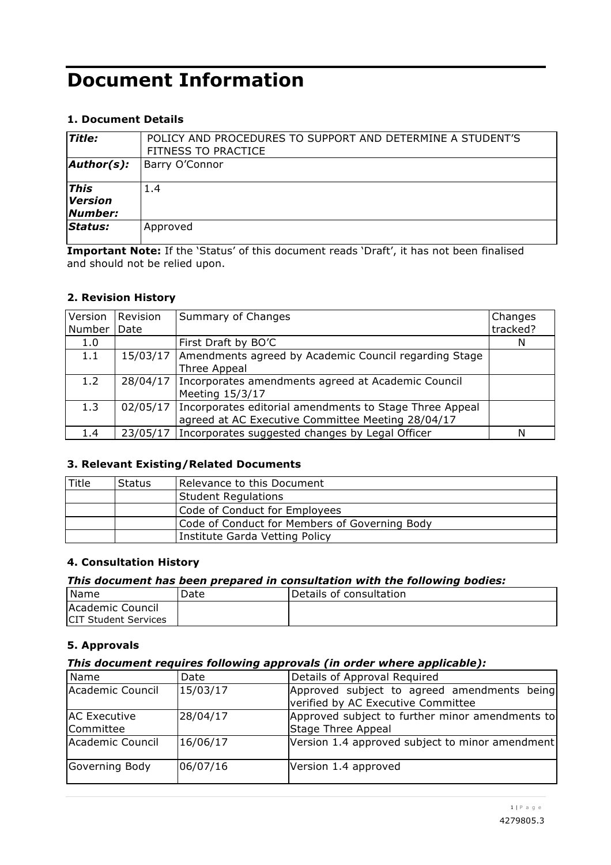# **Document Information**

# **1. Document Details**

| <b>Title:</b>                            | POLICY AND PROCEDURES TO SUPPORT AND DETERMINE A STUDENT'S<br><b>FITNESS TO PRACTICE</b> |  |  |
|------------------------------------------|------------------------------------------------------------------------------------------|--|--|
| $\mathsf{Author}(s)$ :                   | Barry O'Connor                                                                           |  |  |
| <b>This</b><br><b>Version</b><br>Number: | 1.4                                                                                      |  |  |
| Status:                                  | Approved                                                                                 |  |  |

**Important Note:** If the 'Status' of this document reads 'Draft', it has not been finalised and should not be relied upon.

### **2. Revision History**

| Version | Revision | Summary of Changes                                                 | Changes  |
|---------|----------|--------------------------------------------------------------------|----------|
| Number  | Date     |                                                                    | tracked? |
| 1.0     |          | First Draft by BO'C                                                | N        |
| 1.1     | 15/03/17 | Amendments agreed by Academic Council regarding Stage              |          |
|         |          | Three Appeal                                                       |          |
| 1.2     |          | 28/04/17   Incorporates amendments agreed at Academic Council      |          |
|         |          | Meeting 15/3/17                                                    |          |
| 1.3     |          | 02/05/17   Incorporates editorial amendments to Stage Three Appeal |          |
|         |          | agreed at AC Executive Committee Meeting 28/04/17                  |          |
| 1.4     |          | 23/05/17   Incorporates suggested changes by Legal Officer         | N        |

### **3. Relevant Existing/Related Documents**

| Title | <b>Status</b> | Relevance to this Document                    |  |  |
|-------|---------------|-----------------------------------------------|--|--|
|       |               | Student Regulations                           |  |  |
|       |               | Code of Conduct for Employees                 |  |  |
|       |               | Code of Conduct for Members of Governing Body |  |  |
|       |               | Institute Garda Vetting Policy                |  |  |

### **4. Consultation History**

#### *This document has been prepared in consultation with the following bodies:*

| l Name                       | Date | Details of consultation |
|------------------------------|------|-------------------------|
| <b>Academic Council</b>      |      |                         |
| <b>ICIT Student Services</b> |      |                         |

### **5. Approvals**

#### *This document requires following approvals (in order where applicable):*

| Name                             | Date     | Details of Approval Required                                                      |
|----------------------------------|----------|-----------------------------------------------------------------------------------|
| Academic Council                 | 15/03/17 | Approved subject to agreed amendments being<br>verified by AC Executive Committee |
| <b>AC Executive</b><br>Committee | 28/04/17 | Approved subject to further minor amendments to<br>Stage Three Appeal             |
| Academic Council                 | 16/06/17 | Version 1.4 approved subject to minor amendment                                   |
| Governing Body                   | 06/07/16 | Version 1.4 approved                                                              |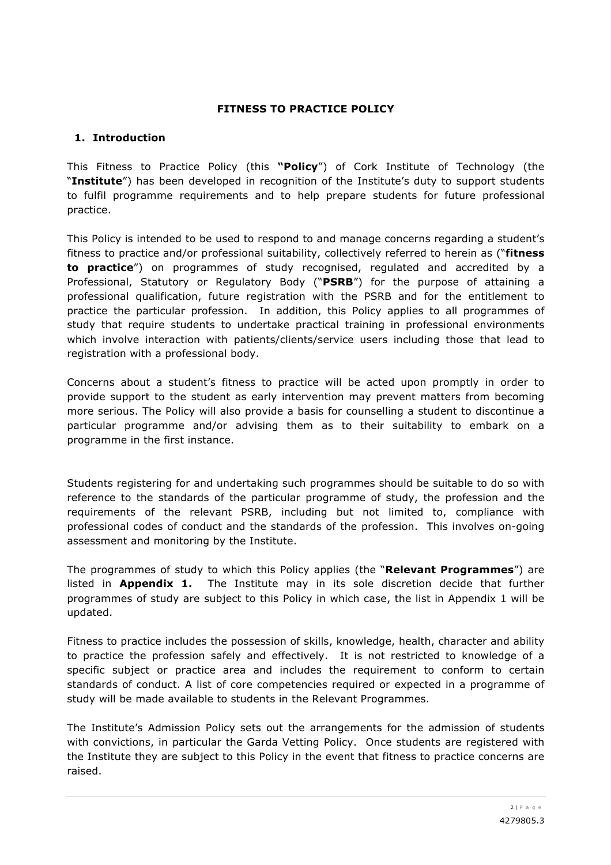### **FITNESS TO PRACTICE POLICY**

## **1. Introduction**

This Fitness to Practice Policy (this **"Policy**") of Cork Institute of Technology (the "**Institute**") has been developed in recognition of the Institute's duty to support students to fulfil programme requirements and to help prepare students for future professional practice.

This Policy is intended to be used to respond to and manage concerns regarding a student's fitness to practice and/or professional suitability, collectively referred to herein as ("**fitness to practice**") on programmes of study recognised, regulated and accredited by a Professional, Statutory or Regulatory Body ("**PSRB**") for the purpose of attaining a professional qualification, future registration with the PSRB and for the entitlement to practice the particular profession. In addition, this Policy applies to all programmes of study that require students to undertake practical training in professional environments which involve interaction with patients/clients/service users including those that lead to registration with a professional body.

Concerns about a student's fitness to practice will be acted upon promptly in order to provide support to the student as early intervention may prevent matters from becoming more serious. The Policy will also provide a basis for counselling a student to discontinue a particular programme and/or advising them as to their suitability to embark on a programme in the first instance.

Students registering for and undertaking such programmes should be suitable to do so with reference to the standards of the particular programme of study, the profession and the requirements of the relevant PSRB, including but not limited to, compliance with professional codes of conduct and the standards of the profession. This involves on-going assessment and monitoring by the Institute.

The programmes of study to which this Policy applies (the "**Relevant Programmes**") are listed in **Appendix 1.** The Institute may in its sole discretion decide that further programmes of study are subject to this Policy in which case, the list in Appendix 1 will be updated.

Fitness to practice includes the possession of skills, knowledge, health, character and ability to practice the profession safely and effectively. It is not restricted to knowledge of a specific subject or practice area and includes the requirement to conform to certain standards of conduct. A list of core competencies required or expected in a programme of study will be made available to students in the Relevant Programmes.

The Institute's Admission Policy sets out the arrangements for the admission of students with convictions, in particular the Garda Vetting Policy. Once students are registered with the Institute they are subject to this Policy in the event that fitness to practice concerns are raised.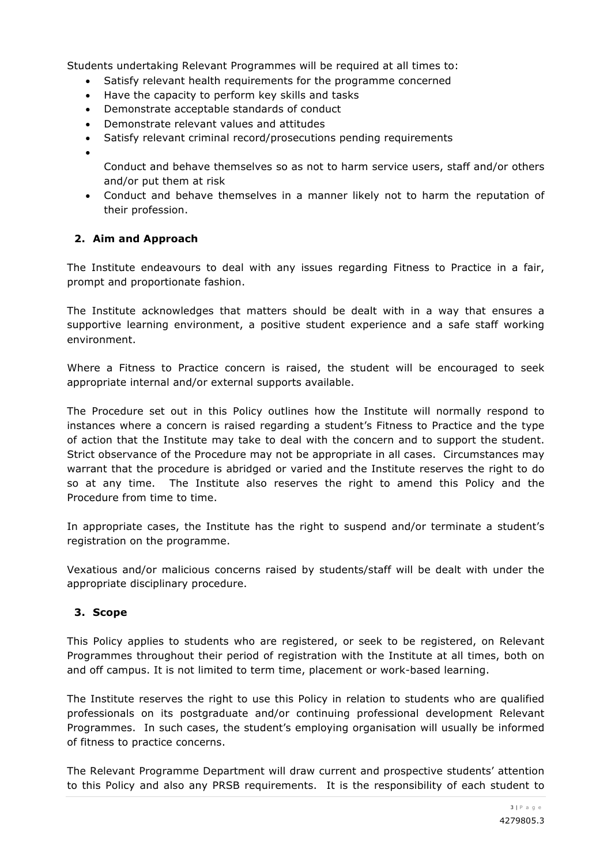Students undertaking Relevant Programmes will be required at all times to:

- Satisfy relevant health requirements for the programme concerned
- Have the capacity to perform key skills and tasks
- Demonstrate acceptable standards of conduct
- Demonstrate relevant values and attitudes
- Satisfy relevant criminal record/prosecutions pending requirements
- •

Conduct and behave themselves so as not to harm service users, staff and/or others and/or put them at risk

• Conduct and behave themselves in a manner likely not to harm the reputation of their profession.

# **2. Aim and Approach**

The Institute endeavours to deal with any issues regarding Fitness to Practice in a fair, prompt and proportionate fashion.

The Institute acknowledges that matters should be dealt with in a way that ensures a supportive learning environment, a positive student experience and a safe staff working environment.

Where a Fitness to Practice concern is raised, the student will be encouraged to seek appropriate internal and/or external supports available.

The Procedure set out in this Policy outlines how the Institute will normally respond to instances where a concern is raised regarding a student's Fitness to Practice and the type of action that the Institute may take to deal with the concern and to support the student. Strict observance of the Procedure may not be appropriate in all cases. Circumstances may warrant that the procedure is abridged or varied and the Institute reserves the right to do so at any time. The Institute also reserves the right to amend this Policy and the Procedure from time to time.

In appropriate cases, the Institute has the right to suspend and/or terminate a student's registration on the programme.

Vexatious and/or malicious concerns raised by students/staff will be dealt with under the appropriate disciplinary procedure.

### **3. Scope**

This Policy applies to students who are registered, or seek to be registered, on Relevant Programmes throughout their period of registration with the Institute at all times, both on and off campus. It is not limited to term time, placement or work-based learning.

The Institute reserves the right to use this Policy in relation to students who are qualified professionals on its postgraduate and/or continuing professional development Relevant Programmes. In such cases, the student's employing organisation will usually be informed of fitness to practice concerns.

The Relevant Programme Department will draw current and prospective students' attention to this Policy and also any PRSB requirements. It is the responsibility of each student to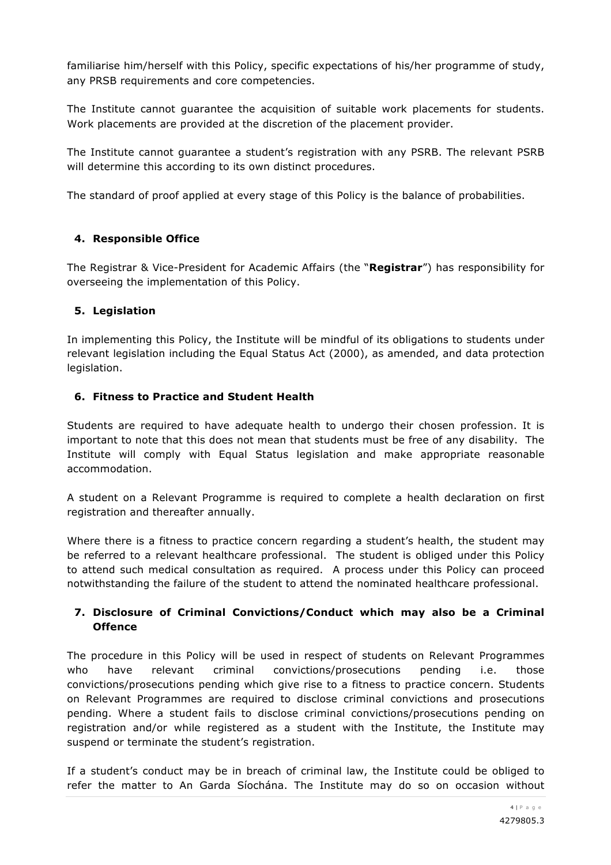familiarise him/herself with this Policy, specific expectations of his/her programme of study, any PRSB requirements and core competencies.

The Institute cannot guarantee the acquisition of suitable work placements for students. Work placements are provided at the discretion of the placement provider.

The Institute cannot guarantee a student's registration with any PSRB. The relevant PSRB will determine this according to its own distinct procedures.

The standard of proof applied at every stage of this Policy is the balance of probabilities.

### **4. Responsible Office**

The Registrar & Vice-President for Academic Affairs (the "**Registrar**") has responsibility for overseeing the implementation of this Policy.

# **5. Legislation**

In implementing this Policy, the Institute will be mindful of its obligations to students under relevant legislation including the Equal Status Act (2000), as amended, and data protection legislation.

# **6. Fitness to Practice and Student Health**

Students are required to have adequate health to undergo their chosen profession. It is important to note that this does not mean that students must be free of any disability. The Institute will comply with Equal Status legislation and make appropriate reasonable accommodation.

A student on a Relevant Programme is required to complete a health declaration on first registration and thereafter annually.

Where there is a fitness to practice concern regarding a student's health, the student may be referred to a relevant healthcare professional. The student is obliged under this Policy to attend such medical consultation as required. A process under this Policy can proceed notwithstanding the failure of the student to attend the nominated healthcare professional.

# **7. Disclosure of Criminal Convictions/Conduct which may also be a Criminal Offence**

The procedure in this Policy will be used in respect of students on Relevant Programmes who have relevant criminal convictions/prosecutions pending i.e. those convictions/prosecutions pending which give rise to a fitness to practice concern. Students on Relevant Programmes are required to disclose criminal convictions and prosecutions pending. Where a student fails to disclose criminal convictions/prosecutions pending on registration and/or while registered as a student with the Institute, the Institute may suspend or terminate the student's registration.

If a student's conduct may be in breach of criminal law, the Institute could be obliged to refer the matter to An Garda Síochána. The Institute may do so on occasion without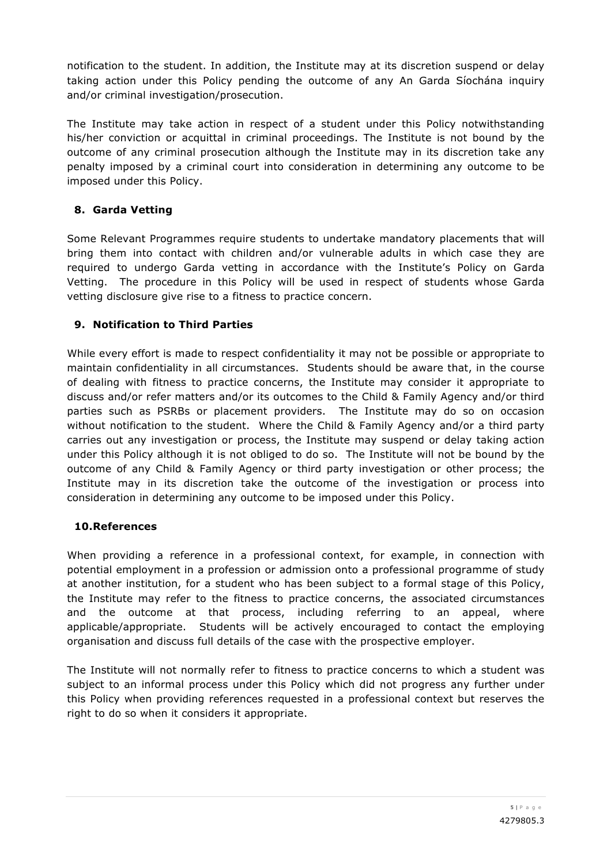notification to the student. In addition, the Institute may at its discretion suspend or delay taking action under this Policy pending the outcome of any An Garda Síochána inquiry and/or criminal investigation/prosecution.

The Institute may take action in respect of a student under this Policy notwithstanding his/her conviction or acquittal in criminal proceedings. The Institute is not bound by the outcome of any criminal prosecution although the Institute may in its discretion take any penalty imposed by a criminal court into consideration in determining any outcome to be imposed under this Policy.

# **8. Garda Vetting**

Some Relevant Programmes require students to undertake mandatory placements that will bring them into contact with children and/or vulnerable adults in which case they are required to undergo Garda vetting in accordance with the Institute's Policy on Garda Vetting. The procedure in this Policy will be used in respect of students whose Garda vetting disclosure give rise to a fitness to practice concern.

# **9. Notification to Third Parties**

While every effort is made to respect confidentiality it may not be possible or appropriate to maintain confidentiality in all circumstances. Students should be aware that, in the course of dealing with fitness to practice concerns, the Institute may consider it appropriate to discuss and/or refer matters and/or its outcomes to the Child & Family Agency and/or third parties such as PSRBs or placement providers. The Institute may do so on occasion without notification to the student. Where the Child & Family Agency and/or a third party carries out any investigation or process, the Institute may suspend or delay taking action under this Policy although it is not obliged to do so. The Institute will not be bound by the outcome of any Child & Family Agency or third party investigation or other process; the Institute may in its discretion take the outcome of the investigation or process into consideration in determining any outcome to be imposed under this Policy.

### **10.References**

When providing a reference in a professional context, for example, in connection with potential employment in a profession or admission onto a professional programme of study at another institution, for a student who has been subject to a formal stage of this Policy, the Institute may refer to the fitness to practice concerns, the associated circumstances and the outcome at that process, including referring to an appeal, where applicable/appropriate. Students will be actively encouraged to contact the employing organisation and discuss full details of the case with the prospective employer.

The Institute will not normally refer to fitness to practice concerns to which a student was subject to an informal process under this Policy which did not progress any further under this Policy when providing references requested in a professional context but reserves the right to do so when it considers it appropriate.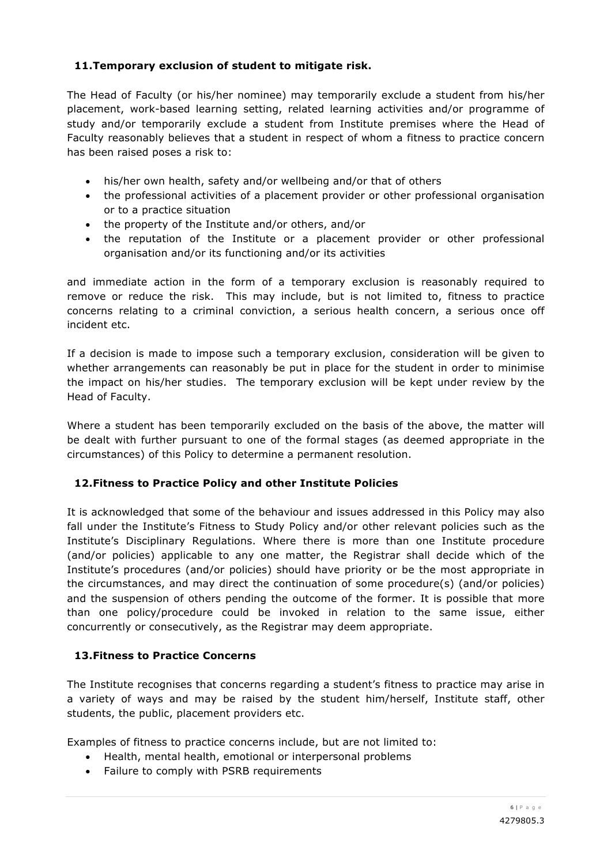# **11.Temporary exclusion of student to mitigate risk.**

The Head of Faculty (or his/her nominee) may temporarily exclude a student from his/her placement, work-based learning setting, related learning activities and/or programme of study and/or temporarily exclude a student from Institute premises where the Head of Faculty reasonably believes that a student in respect of whom a fitness to practice concern has been raised poses a risk to:

- his/her own health, safety and/or wellbeing and/or that of others
- the professional activities of a placement provider or other professional organisation or to a practice situation
- the property of the Institute and/or others, and/or
- the reputation of the Institute or a placement provider or other professional organisation and/or its functioning and/or its activities

and immediate action in the form of a temporary exclusion is reasonably required to remove or reduce the risk. This may include, but is not limited to, fitness to practice concerns relating to a criminal conviction, a serious health concern, a serious once off incident etc.

If a decision is made to impose such a temporary exclusion, consideration will be given to whether arrangements can reasonably be put in place for the student in order to minimise the impact on his/her studies. The temporary exclusion will be kept under review by the Head of Faculty.

Where a student has been temporarily excluded on the basis of the above, the matter will be dealt with further pursuant to one of the formal stages (as deemed appropriate in the circumstances) of this Policy to determine a permanent resolution.

# **12.Fitness to Practice Policy and other Institute Policies**

It is acknowledged that some of the behaviour and issues addressed in this Policy may also fall under the Institute's Fitness to Study Policy and/or other relevant policies such as the Institute's Disciplinary Regulations. Where there is more than one Institute procedure (and/or policies) applicable to any one matter, the Registrar shall decide which of the Institute's procedures (and/or policies) should have priority or be the most appropriate in the circumstances, and may direct the continuation of some procedure(s) (and/or policies) and the suspension of others pending the outcome of the former. It is possible that more than one policy/procedure could be invoked in relation to the same issue, either concurrently or consecutively, as the Registrar may deem appropriate.

# **13.Fitness to Practice Concerns**

The Institute recognises that concerns regarding a student's fitness to practice may arise in a variety of ways and may be raised by the student him/herself, Institute staff, other students, the public, placement providers etc.

Examples of fitness to practice concerns include, but are not limited to:

- Health, mental health, emotional or interpersonal problems
- Failure to comply with PSRB requirements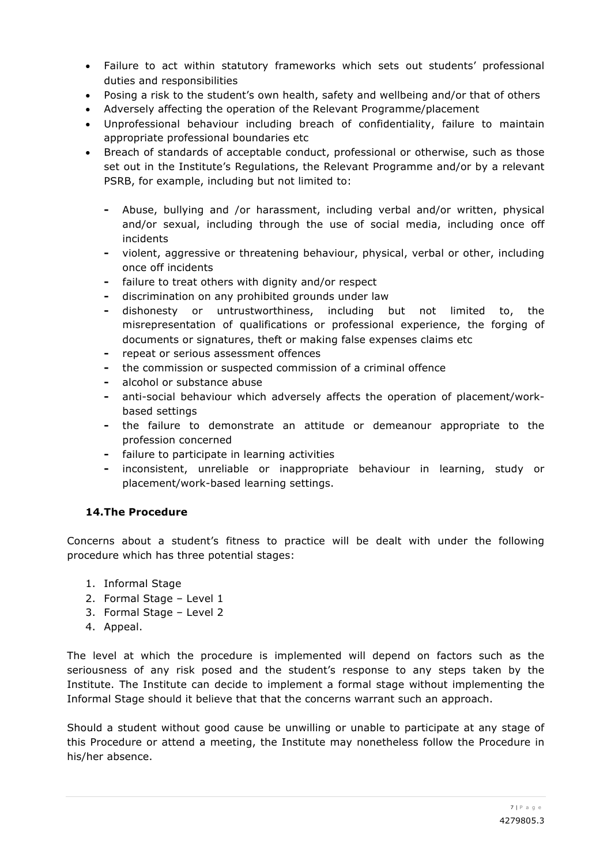- Failure to act within statutory frameworks which sets out students' professional duties and responsibilities
- Posing a risk to the student's own health, safety and wellbeing and/or that of others
- Adversely affecting the operation of the Relevant Programme/placement
- Unprofessional behaviour including breach of confidentiality, failure to maintain appropriate professional boundaries etc
- Breach of standards of acceptable conduct, professional or otherwise, such as those set out in the Institute's Regulations, the Relevant Programme and/or by a relevant PSRB, for example, including but not limited to:
	- **-** Abuse, bullying and /or harassment, including verbal and/or written, physical and/or sexual, including through the use of social media, including once off incidents
	- **-** violent, aggressive or threatening behaviour, physical, verbal or other, including once off incidents
	- **-** failure to treat others with dignity and/or respect
	- **-** discrimination on any prohibited grounds under law
	- **-** dishonesty or untrustworthiness, including but not limited to, the misrepresentation of qualifications or professional experience, the forging of documents or signatures, theft or making false expenses claims etc
	- **-** repeat or serious assessment offences
	- **-** the commission or suspected commission of a criminal offence
	- **-** alcohol or substance abuse
	- **-** anti-social behaviour which adversely affects the operation of placement/workbased settings
	- **-** the failure to demonstrate an attitude or demeanour appropriate to the profession concerned
	- **-** failure to participate in learning activities
	- **-** inconsistent, unreliable or inappropriate behaviour in learning, study or placement/work-based learning settings.

# **14.The Procedure**

Concerns about a student's fitness to practice will be dealt with under the following procedure which has three potential stages:

- 1. Informal Stage
- 2. Formal Stage Level 1
- 3. Formal Stage Level 2
- 4. Appeal.

The level at which the procedure is implemented will depend on factors such as the seriousness of any risk posed and the student's response to any steps taken by the Institute. The Institute can decide to implement a formal stage without implementing the Informal Stage should it believe that that the concerns warrant such an approach.

Should a student without good cause be unwilling or unable to participate at any stage of this Procedure or attend a meeting, the Institute may nonetheless follow the Procedure in his/her absence.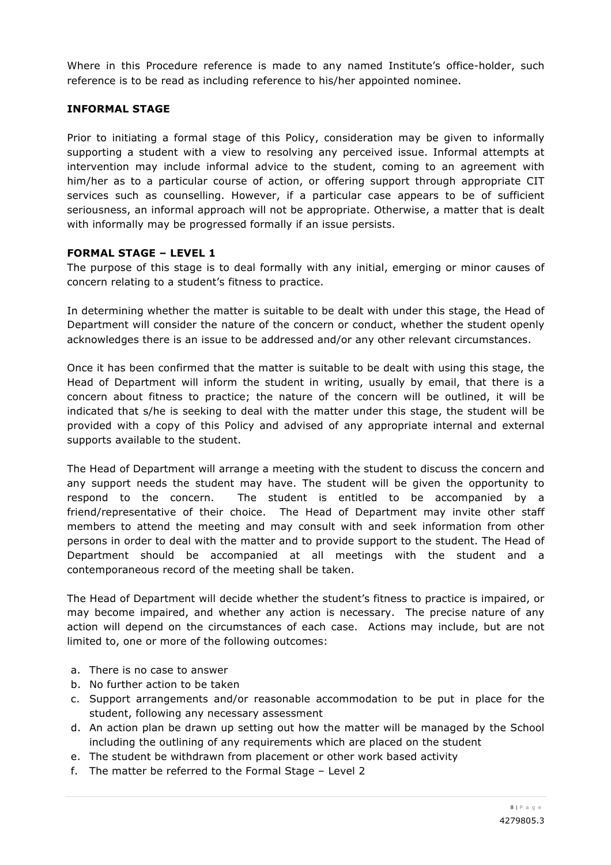Where in this Procedure reference is made to any named Institute's office-holder, such reference is to be read as including reference to his/her appointed nominee.

#### **INFORMAL STAGE**

Prior to initiating a formal stage of this Policy, consideration may be given to informally supporting a student with a view to resolving any perceived issue. Informal attempts at intervention may include informal advice to the student, coming to an agreement with him/her as to a particular course of action, or offering support through appropriate CIT services such as counselling. However, if a particular case appears to be of sufficient seriousness, an informal approach will not be appropriate. Otherwise, a matter that is dealt with informally may be progressed formally if an issue persists.

#### **FORMAL STAGE – LEVEL 1**

The purpose of this stage is to deal formally with any initial, emerging or minor causes of concern relating to a student's fitness to practice.

In determining whether the matter is suitable to be dealt with under this stage, the Head of Department will consider the nature of the concern or conduct, whether the student openly acknowledges there is an issue to be addressed and/or any other relevant circumstances.

Once it has been confirmed that the matter is suitable to be dealt with using this stage, the Head of Department will inform the student in writing, usually by email, that there is a concern about fitness to practice; the nature of the concern will be outlined, it will be indicated that s/he is seeking to deal with the matter under this stage, the student will be provided with a copy of this Policy and advised of any appropriate internal and external supports available to the student.

The Head of Department will arrange a meeting with the student to discuss the concern and any support needs the student may have. The student will be given the opportunity to respond to the concern. The student is entitled to be accompanied by a friend/representative of their choice. The Head of Department may invite other staff members to attend the meeting and may consult with and seek information from other persons in order to deal with the matter and to provide support to the student. The Head of Department should be accompanied at all meetings with the student and a contemporaneous record of the meeting shall be taken.

The Head of Department will decide whether the student's fitness to practice is impaired, or may become impaired, and whether any action is necessary. The precise nature of any action will depend on the circumstances of each case. Actions may include, but are not limited to, one or more of the following outcomes:

- a. There is no case to answer
- b. No further action to be taken
- c. Support arrangements and/or reasonable accommodation to be put in place for the student, following any necessary assessment
- d. An action plan be drawn up setting out how the matter will be managed by the School including the outlining of any requirements which are placed on the student
- e. The student be withdrawn from placement or other work based activity
- f. The matter be referred to the Formal Stage Level 2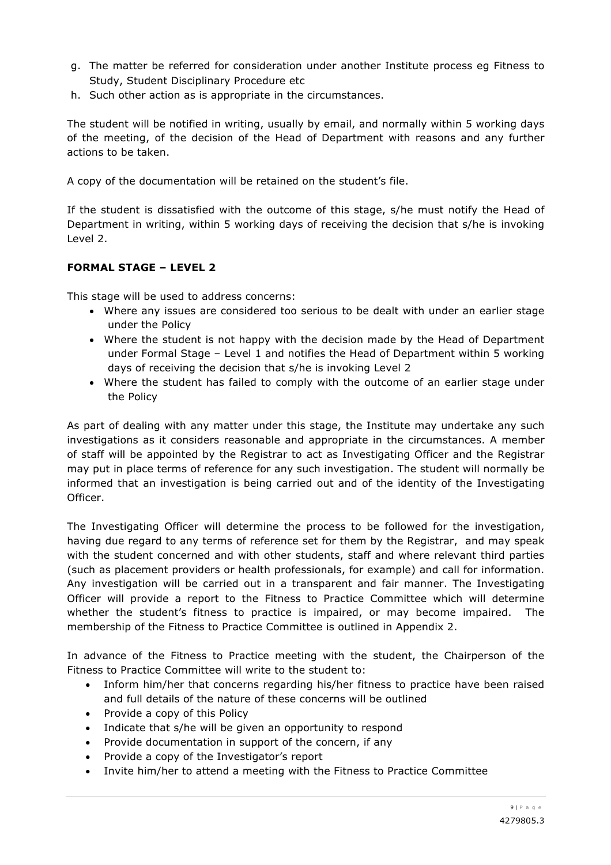- g. The matter be referred for consideration under another Institute process eg Fitness to Study, Student Disciplinary Procedure etc
- h. Such other action as is appropriate in the circumstances.

The student will be notified in writing, usually by email, and normally within 5 working days of the meeting, of the decision of the Head of Department with reasons and any further actions to be taken.

A copy of the documentation will be retained on the student's file.

If the student is dissatisfied with the outcome of this stage, s/he must notify the Head of Department in writing, within 5 working days of receiving the decision that s/he is invoking Level 2.

# **FORMAL STAGE – LEVEL 2**

This stage will be used to address concerns:

- Where any issues are considered too serious to be dealt with under an earlier stage under the Policy
- Where the student is not happy with the decision made by the Head of Department under Formal Stage – Level 1 and notifies the Head of Department within 5 working days of receiving the decision that s/he is invoking Level 2
- Where the student has failed to comply with the outcome of an earlier stage under the Policy

As part of dealing with any matter under this stage, the Institute may undertake any such investigations as it considers reasonable and appropriate in the circumstances. A member of staff will be appointed by the Registrar to act as Investigating Officer and the Registrar may put in place terms of reference for any such investigation. The student will normally be informed that an investigation is being carried out and of the identity of the Investigating Officer.

The Investigating Officer will determine the process to be followed for the investigation, having due regard to any terms of reference set for them by the Registrar, and may speak with the student concerned and with other students, staff and where relevant third parties (such as placement providers or health professionals, for example) and call for information. Any investigation will be carried out in a transparent and fair manner. The Investigating Officer will provide a report to the Fitness to Practice Committee which will determine whether the student's fitness to practice is impaired, or may become impaired. The membership of the Fitness to Practice Committee is outlined in Appendix 2.

In advance of the Fitness to Practice meeting with the student, the Chairperson of the Fitness to Practice Committee will write to the student to:

- Inform him/her that concerns regarding his/her fitness to practice have been raised and full details of the nature of these concerns will be outlined
- Provide a copy of this Policy
- Indicate that s/he will be given an opportunity to respond
- Provide documentation in support of the concern, if any
- Provide a copy of the Investigator's report
- Invite him/her to attend a meeting with the Fitness to Practice Committee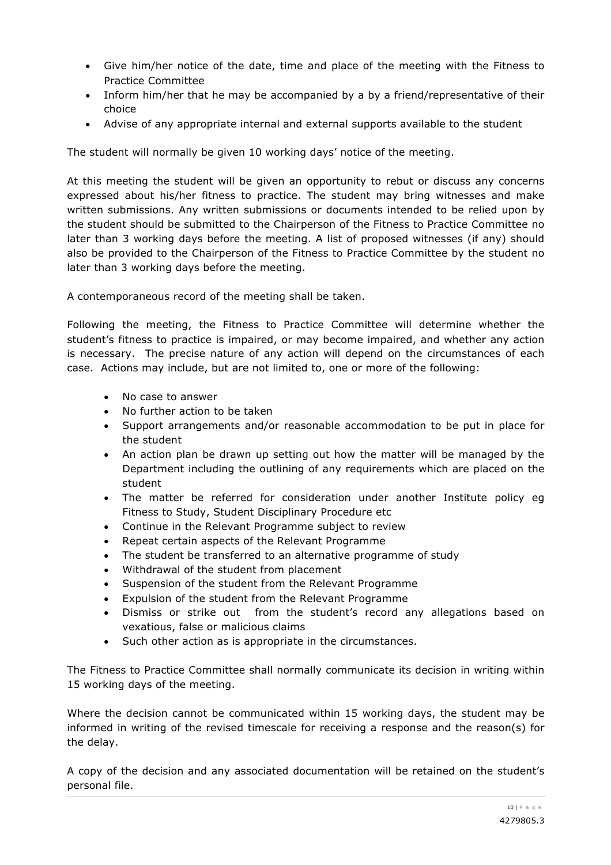- Give him/her notice of the date, time and place of the meeting with the Fitness to Practice Committee
- Inform him/her that he may be accompanied by a by a friend/representative of their choice
- Advise of any appropriate internal and external supports available to the student

The student will normally be given 10 working days' notice of the meeting.

At this meeting the student will be given an opportunity to rebut or discuss any concerns expressed about his/her fitness to practice. The student may bring witnesses and make written submissions. Any written submissions or documents intended to be relied upon by the student should be submitted to the Chairperson of the Fitness to Practice Committee no later than 3 working days before the meeting. A list of proposed witnesses (if any) should also be provided to the Chairperson of the Fitness to Practice Committee by the student no later than 3 working days before the meeting.

A contemporaneous record of the meeting shall be taken.

Following the meeting, the Fitness to Practice Committee will determine whether the student's fitness to practice is impaired, or may become impaired, and whether any action is necessary. The precise nature of any action will depend on the circumstances of each case. Actions may include, but are not limited to, one or more of the following:

- No case to answer
- No further action to be taken
- Support arrangements and/or reasonable accommodation to be put in place for the student
- An action plan be drawn up setting out how the matter will be managed by the Department including the outlining of any requirements which are placed on the student
- The matter be referred for consideration under another Institute policy eg Fitness to Study, Student Disciplinary Procedure etc
- Continue in the Relevant Programme subject to review
- Repeat certain aspects of the Relevant Programme
- The student be transferred to an alternative programme of study
- Withdrawal of the student from placement
- Suspension of the student from the Relevant Programme
- Expulsion of the student from the Relevant Programme
- Dismiss or strike out from the student's record any allegations based on vexatious, false or malicious claims
- Such other action as is appropriate in the circumstances.

The Fitness to Practice Committee shall normally communicate its decision in writing within 15 working days of the meeting.

Where the decision cannot be communicated within 15 working days, the student may be informed in writing of the revised timescale for receiving a response and the reason(s) for the delay.

A copy of the decision and any associated documentation will be retained on the student's personal file.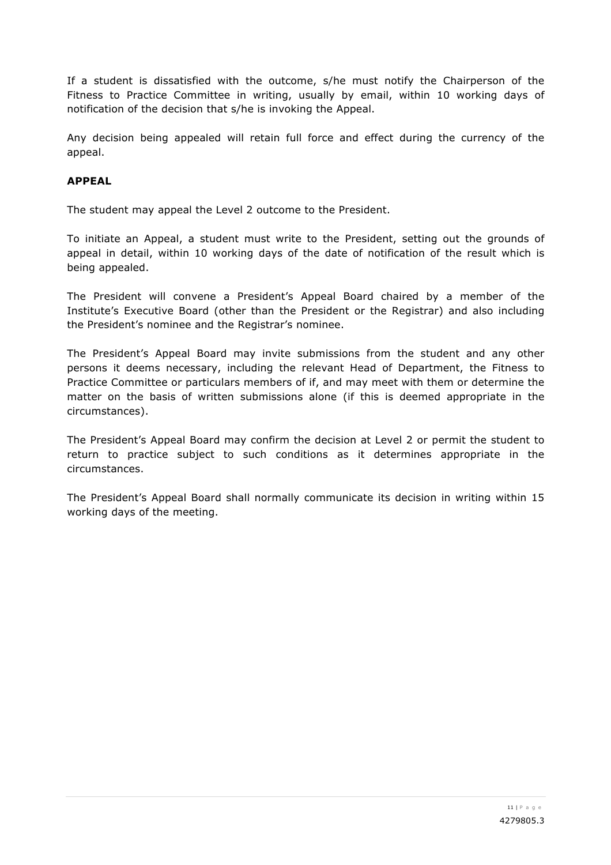If a student is dissatisfied with the outcome, s/he must notify the Chairperson of the Fitness to Practice Committee in writing, usually by email, within 10 working days of notification of the decision that s/he is invoking the Appeal.

Any decision being appealed will retain full force and effect during the currency of the appeal.

# **APPEAL**

The student may appeal the Level 2 outcome to the President.

To initiate an Appeal, a student must write to the President, setting out the grounds of appeal in detail, within 10 working days of the date of notification of the result which is being appealed.

The President will convene a President's Appeal Board chaired by a member of the Institute's Executive Board (other than the President or the Registrar) and also including the President's nominee and the Registrar's nominee.

The President's Appeal Board may invite submissions from the student and any other persons it deems necessary, including the relevant Head of Department, the Fitness to Practice Committee or particulars members of if, and may meet with them or determine the matter on the basis of written submissions alone (if this is deemed appropriate in the circumstances).

The President's Appeal Board may confirm the decision at Level 2 or permit the student to return to practice subject to such conditions as it determines appropriate in the circumstances.

The President's Appeal Board shall normally communicate its decision in writing within 15 working days of the meeting.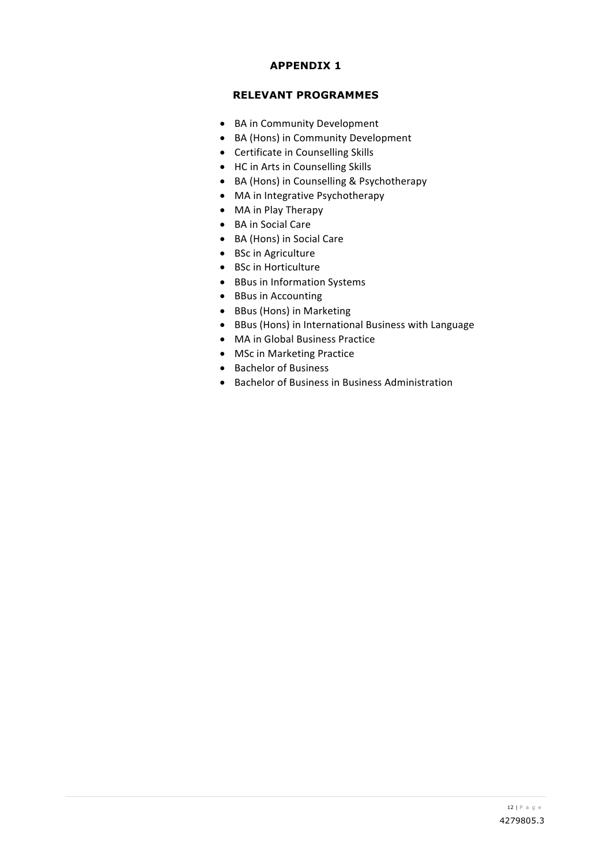## **APPENDIX 1**

## **RELEVANT PROGRAMMES**

- BA in Community Development
- BA (Hons) in Community Development
- Certificate in Counselling Skills
- HC in Arts in Counselling Skills
- BA (Hons) in Counselling & Psychotherapy
- MA in Integrative Psychotherapy
- MA in Play Therapy
- BA in Social Care
- BA (Hons) in Social Care
- BSc in Agriculture
- BSc in Horticulture
- BBus in Information Systems
- BBus in Accounting
- BBus (Hons) in Marketing
- BBus (Hons) in International Business with Language
- MA in Global Business Practice
- MSc in Marketing Practice
- Bachelor of Business
- Bachelor of Business in Business Administration